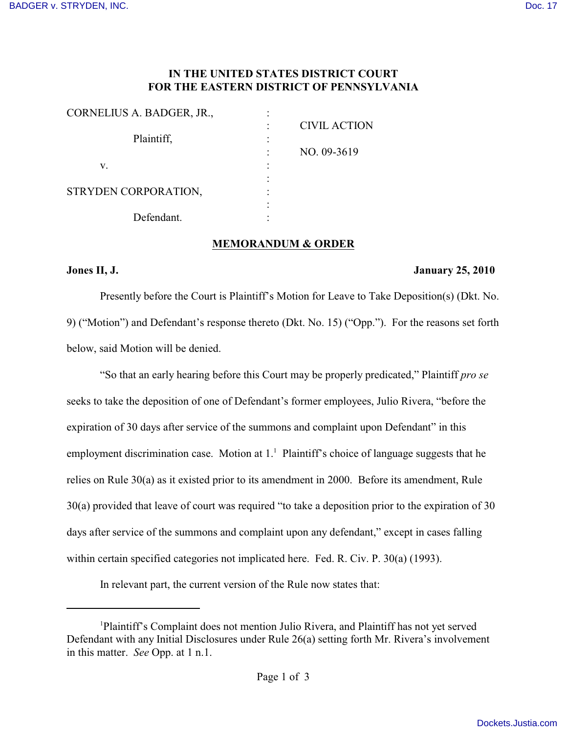## **IN THE UNITED STATES DISTRICT COURT FOR THE EASTERN DISTRICT OF PENNSYLVANIA**

| CORNELIUS A. BADGER, JR., |                     |
|---------------------------|---------------------|
| Plaintiff,                | <b>CIVIL ACTION</b> |
| v.                        | NO. 09-3619         |
| STRYDEN CORPORATION,      |                     |
| Defendant.                |                     |

### **MEMORANDUM & ORDER**

### **Jones II, J. January 25, 2010**

Presently before the Court is Plaintiff's Motion for Leave to Take Deposition(s) (Dkt. No. 9) ("Motion") and Defendant's response thereto (Dkt. No. 15) ("Opp."). For the reasons set forth below, said Motion will be denied.

"So that an early hearing before this Court may be properly predicated," Plaintiff *pro se* seeks to take the deposition of one of Defendant's former employees, Julio Rivera, "before the expiration of 30 days after service of the summons and complaint upon Defendant" in this employment discrimination case. Motion at  $1<sup>1</sup>$  Plaintiff's choice of language suggests that he relies on Rule 30(a) as it existed prior to its amendment in 2000. Before its amendment, Rule 30(a) provided that leave of court was required "to take a deposition prior to the expiration of 30 days after service of the summons and complaint upon any defendant," except in cases falling within certain specified categories not implicated here. Fed. R. Civ. P. 30(a) (1993).

In relevant part, the current version of the Rule now states that:

<sup>&</sup>lt;sup>1</sup>Plaintiff's Complaint does not mention Julio Rivera, and Plaintiff has not yet served Defendant with any Initial Disclosures under Rule 26(a) setting forth Mr. Rivera's involvement in this matter. *See* Opp. at 1 n.1.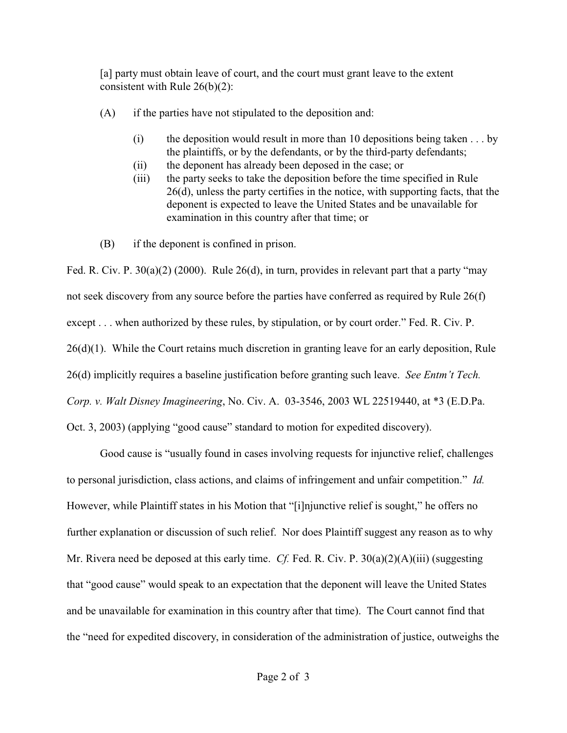[a] party must obtain leave of court, and the court must grant leave to the extent consistent with Rule 26(b)(2):

- (A) if the parties have not stipulated to the deposition and:
	- (i) the deposition would result in more than 10 depositions being taken  $\dots$  by the plaintiffs, or by the defendants, or by the third-party defendants;
	- (ii) the deponent has already been deposed in the case; or
	- (iii) the party seeks to take the deposition before the time specified in Rule 26(d), unless the party certifies in the notice, with supporting facts, that the deponent is expected to leave the United States and be unavailable for examination in this country after that time; or
- (B) if the deponent is confined in prison.

Fed. R. Civ. P. 30(a)(2) (2000). Rule 26(d), in turn, provides in relevant part that a party "may not seek discovery from any source before the parties have conferred as required by Rule 26(f) except . . . when authorized by these rules, by stipulation, or by court order." Fed. R. Civ. P. 26(d)(1). While the Court retains much discretion in granting leave for an early deposition, Rule 26(d) implicitly requires a baseline justification before granting such leave. *See Entm't Tech. Corp. v. Walt Disney Imagineering*, No. Civ. A. 03-3546, 2003 WL 22519440, at \*3 (E.D.Pa. Oct. 3, 2003) (applying "good cause" standard to motion for expedited discovery).

Good cause is "usually found in cases involving requests for injunctive relief, challenges to personal jurisdiction, class actions, and claims of infringement and unfair competition." *Id.*  However, while Plaintiff states in his Motion that "[i]njunctive relief is sought," he offers no further explanation or discussion of such relief. Nor does Plaintiff suggest any reason as to why Mr. Rivera need be deposed at this early time. *Cf.* Fed. R. Civ. P. 30(a)(2)(A)(iii) (suggesting that "good cause" would speak to an expectation that the deponent will leave the United States and be unavailable for examination in this country after that time). The Court cannot find that the "need for expedited discovery, in consideration of the administration of justice, outweighs the